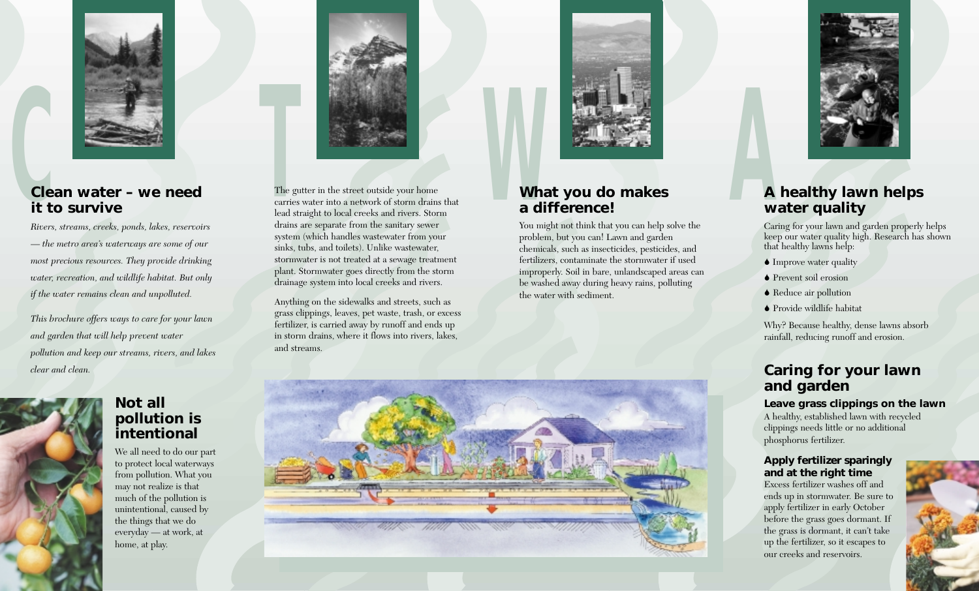

## **CClean water – we need it to survive**

*Rivers, streams, creeks, ponds, lakes, reservoirs — the metro area's waterways are some of our most precious resources. They provide drinking water, recreation, and wildlife habitat. But only if the water remains clean and unpolluted.* 

*This brochure offers ways to care for your lawn and garden that will help prevent water pollution and keep our streams, rivers, and lakes clear and clean.*





We all need to do our part to protect local waterways from pollution. What you may not realize is that much of the pollution is unintentional, caused by the things that we do everyday — at work, at home, at play.



The gutter in the street outside your home<br>
carries water into a network of storm drains that<br> **Mat you do makes** The gutter in the street outside your home carries water into a network of storm drains that lead straight to local creeks and rivers. Storm drains are separate from the sanitary sewer system (which handles wastewater from your sinks, tubs, and toilets). Unlike wastewater, stormwater is not treated at a sewage treatment plant. Stormwater goes directly from the storm drainage system into local creeks and rivers.

Anything on the sidewalks and streets, such as grass clippings, leaves, pet waste, trash, or excess fertilizer, is carried away by runoff and ends up in storm drains, where it flows into rivers, lakes, and streams.



## **What you do makes a difference!**

You might not think that you can help solve the problem, but you can! Lawn and garden chemicals, such as insecticides, pesticides, and fertilizers, contaminate the stormwater if used improperly. Soil in bare, unlandscaped areas can be washed away during heavy rains, polluting the water with sediment.



## **A healthy lawn helps water quality**

Caring for your lawn and garden properly helps keep our water quality high. Research has shown that healthy lawns help:

- Improve water quality
- ◆ Prevent soil erosion
- Reduce air pollution
- $\bullet$  Provide wildlife habitat

Why? Because healthy, dense lawns absorb rainfall, reducing runoff and erosion.

## **Caring for your lawn and garden**

**Leave grass clippings on the lawn** A healthy, established lawn with recycled clippings needs little or no additional phosphorus fertilizer.

#### **Apply fertilizer sparingly and at the right time**

Excess fertilizer washes off and ends up in stormwater. Be sure to apply fertilizer in early October before the grass goes dormant. If the grass is dormant, it can't take up the fertilizer, so it escapes to our creeks and reservoirs.